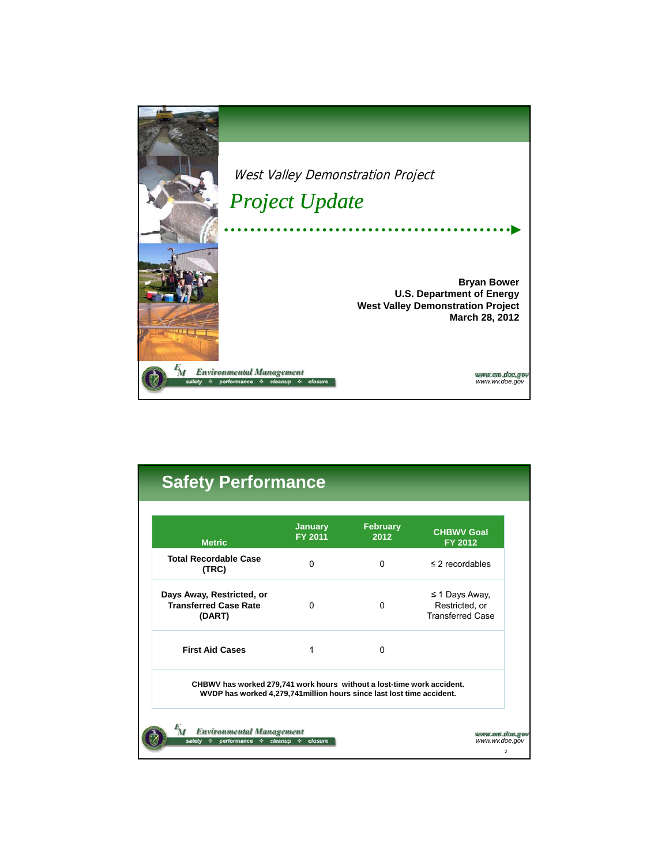

| <b>Metric</b>                                                                                                                                    | <b>January</b><br>FY 2011 | <b>February</b><br>2012 | <b>CHBWV Goal</b><br>FY 2012                                     |
|--------------------------------------------------------------------------------------------------------------------------------------------------|---------------------------|-------------------------|------------------------------------------------------------------|
| <b>Total Recordable Case</b><br>(TRC)                                                                                                            | <sup>0</sup>              | $\Omega$                | $\leq$ 2 recordables                                             |
| Days Away, Restricted, or<br><b>Transferred Case Rate</b><br>(DART)                                                                              | <sup>0</sup>              | 0                       | $\leq$ 1 Days Away,<br>Restricted, or<br><b>Transferred Case</b> |
| <b>First Aid Cases</b>                                                                                                                           | 1                         | $\Omega$                |                                                                  |
| CHBWV has worked 279,741 work hours without a lost-time work accident.<br>WVDP has worked 4,279,741 million hours since last lost time accident. |                           |                         |                                                                  |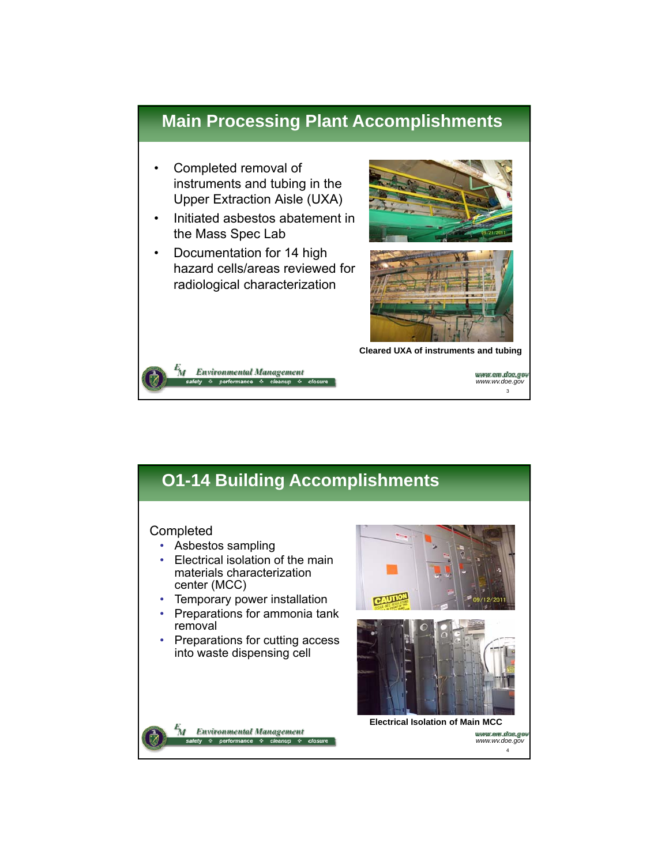## **Main Processing Plant Accomplishments**

- Completed removal of instruments and tubing in the Upper Extraction Aisle (UXA) Upper Extraction Aisle
- Initiated asbestos abatement in the Mass Spec Lab
- Documentation for 14 high hazard cells/areas reviewed for radiological characterization

**Environmental Management** & performance & cleanup





**Cleared UXA of instruments and tubing**

*www.wv.doe.gov* 3

# **O1-14 Building Accomplishments**

#### Completed

'nτ

- Asbestos sampling
- Electrical isolation of the main materials characterization center (MCC)
- Temporary power installation
- Preparations for ammonia tank removal
- Preparations for cutting access into waste dispensing cell







**Electrical Isolation of Main MCC** илли ет дае авт *www.wv.doe.gov* 4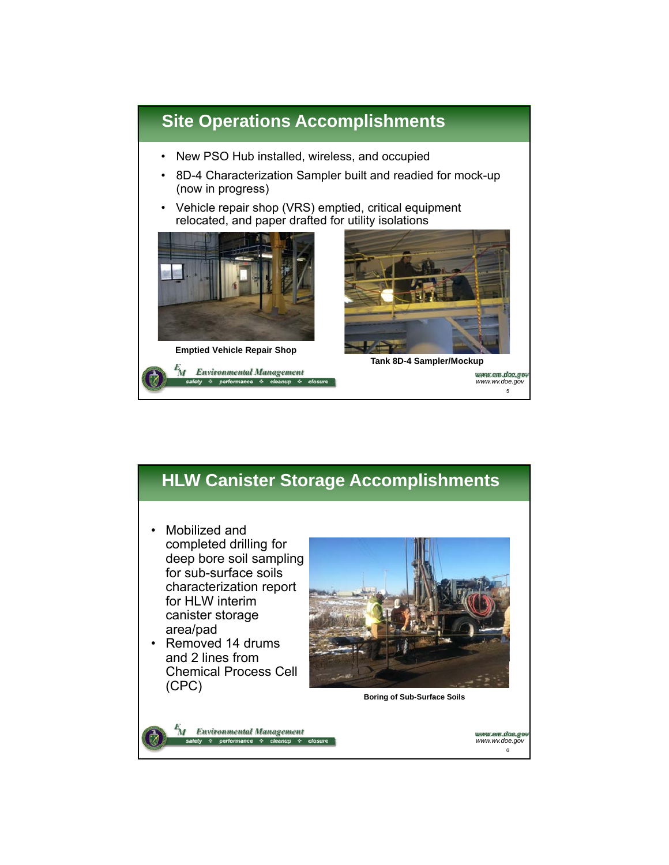

# **HLW Canister Storage Accomplishments**

- Mobilized and completed drilling for deep bore soil sampling<br>for sub-surface soils characterization report for HLW interim canister storage area/pad
- Removed 14 drums and 2 lines from and 2 lines Chemical Process Cell (CPC)



**Boring of Sub-Surface Soils**



иуми ет дае до *www.wv.doe.gov* 6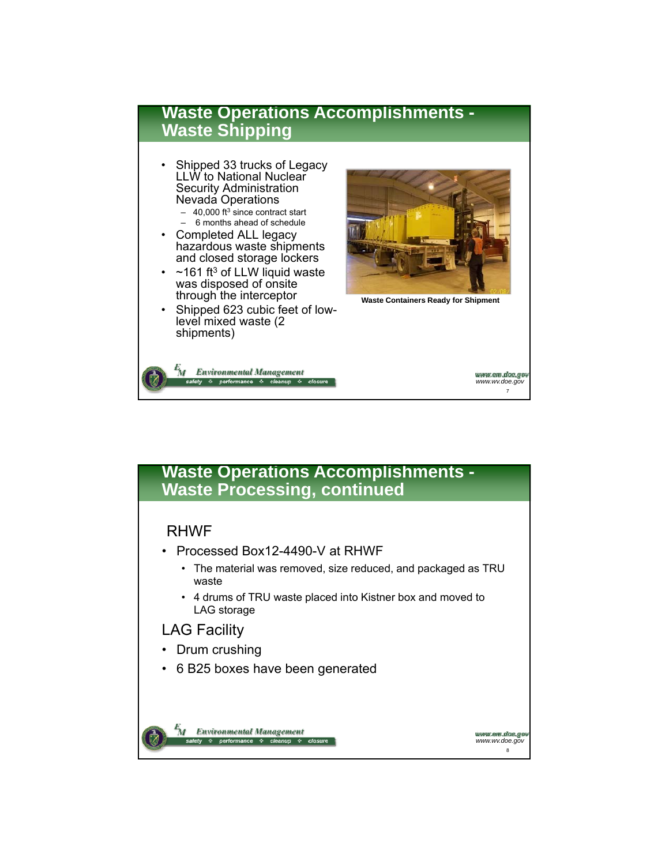

### **Waste Operations Accomplishments - Waste Processing, continued**

#### RHWF

- Processed Box12-4490-V at RHWF
	- The material was removed, size reduced, and packaged as TRU waste
	- 4 drums of TRU waste placed into Kistner box and moved to LAG storage

#### LAG Facility

- Drum crushing
- 6 B25 boxes have been generated



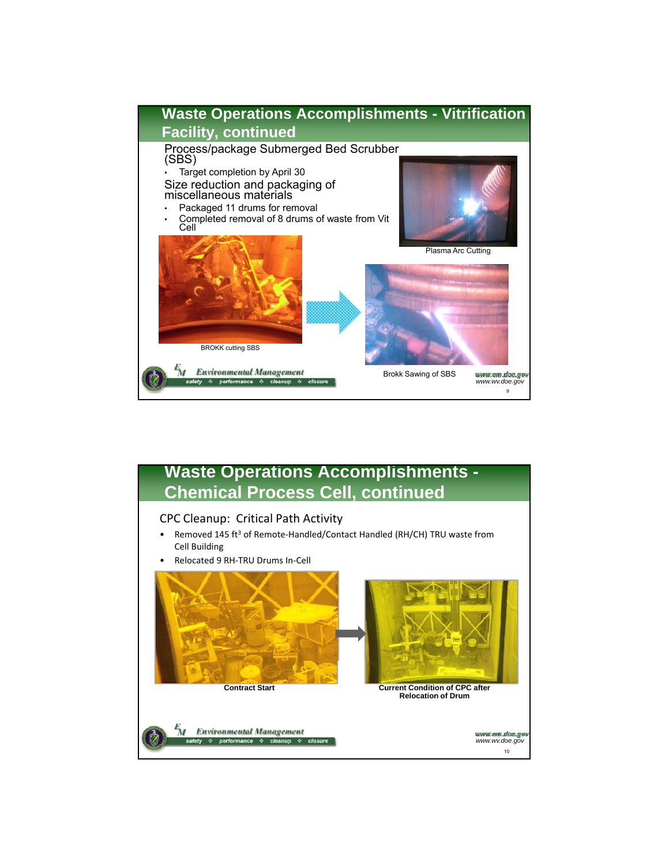

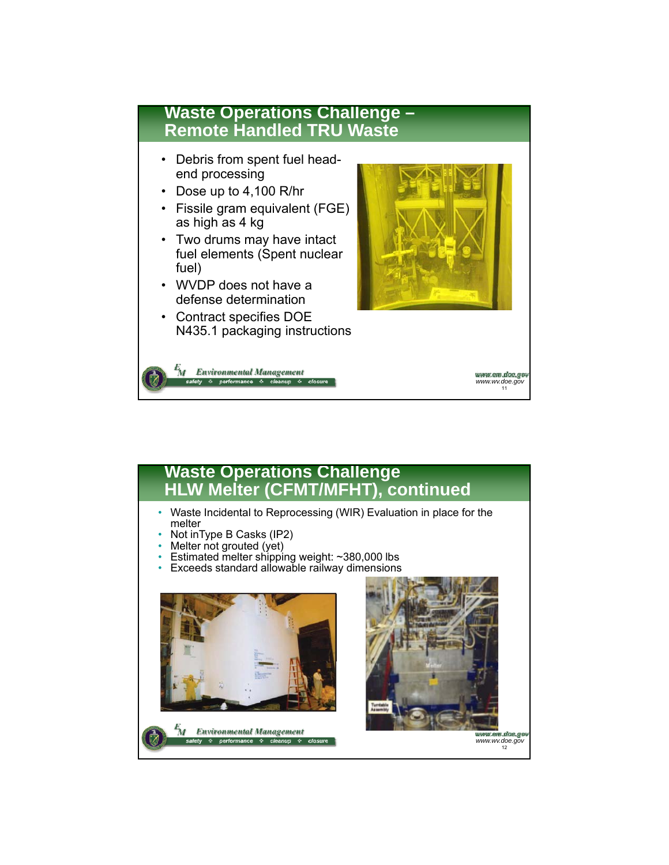

## **Waste Operations Challenge HLW Melter (CFMT/MFHT), continued**

- Waste Incidental to Reprocessing (WIR) Evaluation in place for the melter
- Not inType B Casks (IP2)
- Melter not grouted (yet)
- Estimated melter shipping weight:  $\sim$ 380,000 lbs
- Exceeds standard allowable railway dimensions





www.em.dae.go *www.wv.doe.gov* 12